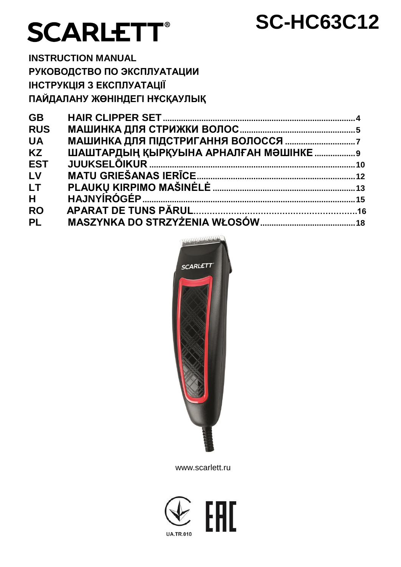# **SCARLETT®**

## **SC-HC63C12**

**INSTRUCTION MANUAL** РУКОВОДСТВО ПО ЭКСПЛУАТАЦИИ ІНСТРУКЦІЯ З ЕКСПЛУАТАЦІЇ ПАЙДАЛАНУ ЖӨНІНДЕГІ НҰСҚАУЛЫҚ

| <b>GB</b>  |  |
|------------|--|
| <b>RUS</b> |  |
| <b>UA</b>  |  |
| <b>KZ</b>  |  |
| <b>EST</b> |  |
| LV         |  |
| LT.        |  |
| H          |  |
| <b>RO</b>  |  |
| <b>PL</b>  |  |



www.scarlett.ru

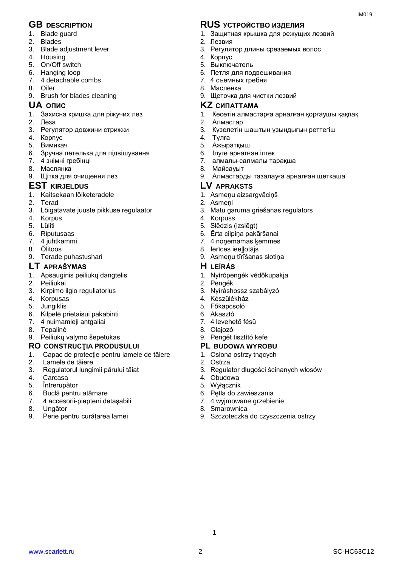- 1. Blade guard
- 2. Blades
- 3. Blade adjustment lever
- 4. Housing
- 5. On/Off switch
- 6. Hanging loop
- 7. 4 detachable combs
- 8. Oiler
- 9. Brush for blades cleaning

- 1. Захисна кришка для ріжучих лез
- 2. Леза
- 3. Регулятор довжини стрижки
- 4. Корпус
- 5. Вимикач
- 6. Зручна петелька для підвішування
- 7. 4 знімні гребінці
- 8. Маслянка
- 9. Щітка для очищення лез
- **EST KIRJELDUS LV APRAKSTS**
- 1. Kaitsekaan lõiketeradele
- 2. Terad
- 3. Lõigatavate juuste pikkuse regulaator
- 4. Korpus
- 5. Lüliti
- 6. Riputusaas
- 7. 4 juhtkammi
- 8. Õlitoos
- 9. Terade puhastushari

## **LT APRAŠYMAS H LEÍRÁS**

- 1. Apsauginis peiliukų dangtelis
- 2. Peiliukai
- 3. Kirpimo ilgio reguliatorius
- 4. Korpusas
- 5. Jungiklis
- 6. Kilpelė prietaisui pakabinti
- 7. 4 nuimamieji antgaliai
- 8. Tepalinė
- 9. Peiliukų valymo šepetukas

#### **RO CONSTRUCŢIA PRODUSULUI PL BUDOWA WYROBU**

- 1. Capac de protecţie pentru lamele de tăiere
- 2. Lamele de tăiere<br>3. Regulatorul lungi
- 3. Regulatorul lungimii părului tăiat
- 4. Carcasa
- 5. Întrerupător<br>6. Buclă pentri
- 6. Buclă pentru atârnare
- 7. 4 accesorii-piepteni detaşabili
- 8. Ungător
- 9. Perie pentru curățarea lamei

## **GB DESCRIPTION RUS УСТРОЙСТВО ИЗДЕЛИЯ**

1. Защитная крышка для режущих лезвий

 $IMA01Q$ 

- 2. Лезвия
- 3. Регулятор длины срезаемых волос
- 4. Корпус
- 5. Выключатель
- 6. Петля для подвешивания
- 7. 4 съемных гребня
- 8. Масленка
- 9. Щеточка для чистки лезвий

#### **UA ОПИС KZ СИПАТТАМА**

- 1. Кесетін алмастарға арналған қорғаушы қақпақ
- 2. Алмастар
- 3. Күзелетін шаштың ұзындығын реттегіш
- 4. Тұлға
- 5. Ажыратқыш
- 6. Ілуге арналған ілгек
- 7. алмалы-салмалы тарақша
- 8. Майсауыт
- 9. Алмастарды тазалауға арналған щеткаша
- - 1. Asmeņu aizsargvāciņš
	- 2. Asmeņi
	- 3. Matu garuma griešanas regulators
	- 4. Korpuss
	- 5. Slēdzis (izslēgt)
	- 6. Ērta cilpiņa pakāršanai
	- 7. 4 noņemamas ķemmes
	- 8. Ierīces ieellotājs
	- 9. Asmeņu tīrīšanas slotiņa

- 1. Nyírópengék védőkupakja
- 2. Pengék
- 3. Nyíráshossz szabályzó
- 4. Készülékház
- 5. Főkapcsoló
- 6. Akasztó
- 7. 4 levehető fésű
- 8. Olajozó
- 9. Pengét tisztító kefe

- 1. Osłona ostrzy tnących
- 2. Ostrza
- 3. Regulator długości ścinanych włosów
- 4. Obudowa
- 5. Wyłącznik
- 6. Pętla do zawieszania
- 7. 4 wyjmowane grzebienie
- 8. Smarownica

www.scarlett.ru SC-HC63C12

**1**

9. Szczoteczka do czyszczenia ostrzy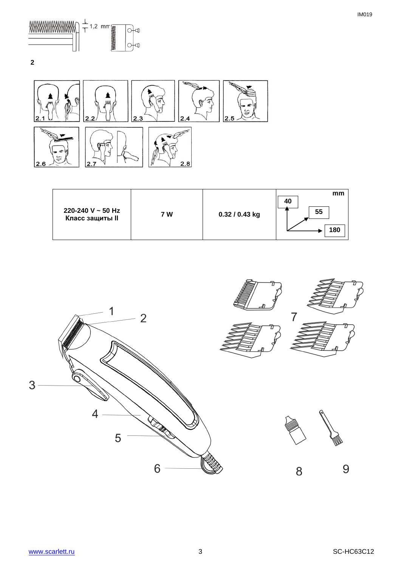

 $\overline{\mathbf{2}}$ 



| 220-240 V $\sim$ 50 Hz<br><b>Класс защиты II</b> | 7 W | 0.32 / 0.43 kg | mm<br>40<br>55<br>180 |
|--------------------------------------------------|-----|----------------|-----------------------|
|                                                  |     |                |                       |

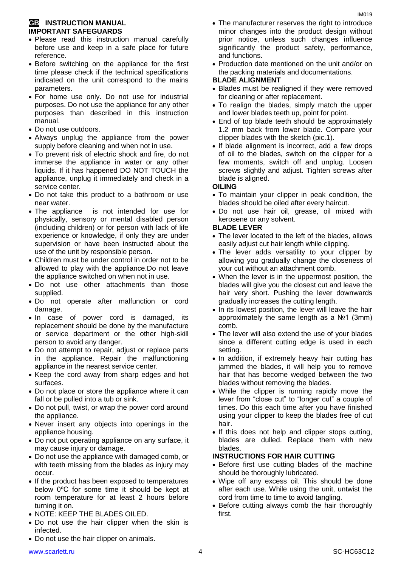#### **GB INSTRUCTION MANUAL IMPORTANT SAFEGUARDS**

- Please read this instruction manual carefully before use and keep in a safe place for future reference.
- Before switching on the appliance for the first time please check if the technical specifications indicated on the unit correspond to the mains parameters.
- For home use only. Do not use for industrial purposes. Do not use the appliance for any other purposes than described in this instruction manual.
- Do not use outdoors.
- Always unplug the appliance from the power supply before cleaning and when not in use.
- To prevent risk of electric shock and fire, do not immerse the appliance in water or any other liquids. If it has happened DO NOT TOUCH the appliance, unplug it immediately and check in a service center.
- Do not take this product to a bathroom or use near water.
- The appliance is not intended for use for [physically, sensory or mental disabled](https://www.multitran.ru/c/m.exe?t=5841801_1_2&s1=%F7%E5%EB%EE%E2%E5%EA%20%F1%20%EE%E3%F0%E0%ED%E8%F7%E5%ED%ED%FB%EC%E8%20%E2%EE%E7%EC%EE%E6%ED%EE%F1%F2%FF%EC%E8) person (including children) or for person with lack of life experience or knowledge, if only they are under supervision or have been instructed about the use of the unit by responsible person.
- Children must be under control in order not to be allowed to play with the appliance.Do not leave the appliance switched on when not in use.
- Do not use other attachments than those supplied.
- Do not operate after malfunction or cord damage.
- In case of power cord is damaged, its replacement should be done by the manufacture or service department or the other high-skill person to avoid any danger.
- Do not attempt to repair, adjust or replace parts in the appliance. Repair the malfunctioning appliance in the nearest service center.
- Keep the cord away from sharp edges and hot surfaces.
- Do not place or store the appliance where it can fall or be pulled into a tub or sink.
- Do not pull, twist, or wrap the power cord around the appliance.
- Never insert any objects into openings in the appliance housing.
- Do not put operating appliance on any surface, it may cause injury or damage.
- Do not use the appliance with damaged comb, or with teeth missing from the blades as injury may occur.
- If the product has been exposed to temperatures below 0ºC for some time it should be kept at room temperature for at least 2 hours before turning it on.
- NOTE: KEEP THE BLADES OILED.

• Do not use the hair clipper on animals.

• Do not use the hair clipper when the skin is infected.

- The manufacturer reserves the right to introduce minor changes into the product design without prior notice, unless such changes influence significantly the product safety, performance, and functions.
- Production date mentioned on the unit and/or on the packing materials and documentations.

#### **BLADE ALIGNMENT**

- Blades must be realigned if they were removed for cleaning or after replacement.
- To realign the blades, simply match the upper and lower blades teeth up, point for point.
- End of top blade teeth should be approximately 1.2 mm back from lower blade. Compare your clipper blades with the sketch (pic.1).
- If blade alignment is incorrect, add a few drops of oil to the blades, switch on the clipper for a few moments, switch off and unplug. Loosen screws slightly and adjust. Tighten screws after blade is aligned.

#### **OILING**

- To maintain your clipper in peak condition, the blades should be oiled after every haircut.
- Do not use hair oil, grease, oil mixed with kerosene or any solvent.

#### **BLADE LEVER**

- The lever located to the left of the blades, allows easily adjust cut hair length while clipping.
- The lever adds versatility to your clipper by allowing you gradually change the closeness of your cut without an attachment comb.
- When the lever is in the uppermost position, the blades will give you the closest cut and leave the hair very short. Pushing the lever downwards gradually increases the cutting length.
- In its lowest position, the lever will leave the hair approximately the same length as a №1 (3mm) comb.
- The lever will also extend the use of your blades since a different cutting edge is used in each setting.
- In addition, if extremely heavy hair cutting has jammed the blades, it will help you to remove hair that has become wedged between the two blades without removing the blades.
- While the clipper is running rapidly move the lever from "close cut" to "longer cut" a couple of times. Do this each time after you have finished using your clipper to keep the blades free of cut hair.
- If this does not help and clipper stops cutting, blades are dulled. Replace them with new blades.

#### **INSTRUCTIONS FOR HAIR CUTTING**

- Before first use cutting blades of the machine should be thoroughly lubricated.
- Wipe off any excess oil. This should be done after each use. While using the unit, untwist the cord from time to time to avoid tangling.
- Before cutting always comb the hair thoroughly first.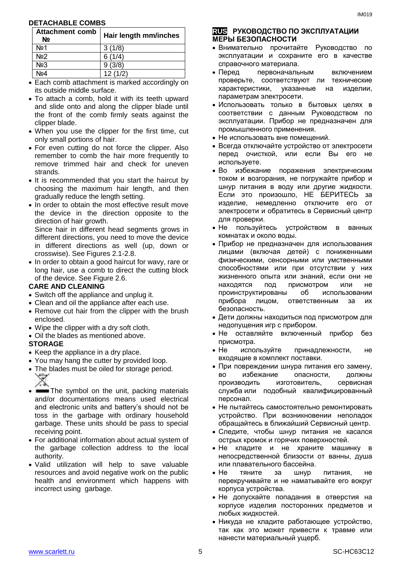#### **DETACHABLE COMBS**

| <b>Attachment comb</b><br>N₫ | Hair length mm/inches |
|------------------------------|-----------------------|
| No <sub>2</sub> 1            | 3(1/8)                |
| Nº2                          | 6(1/4)                |
| $N2$ 3                       | 9(3/8)                |
| No4                          | 12(1/2)               |

- Each comb attachment is marked accordingly on its outside middle surface.
- To attach a comb, hold it with its teeth upward and slide onto and along the clipper blade until the front of the comb firmly seats against the clipper blade.
- When you use the clipper for the first time, cut only small portions of hair.
- For even cutting do not force the clipper. Also remember to comb the hair more frequently to remove trimmed hair and check for uneven strands.
- It is recommended that you start the haircut by choosing the maximum hair length, and then gradually reduce the length setting.
- In order to obtain the most effective result move the device in the direction opposite to the direction of hair growth. Since hair in different head segments grows in

different directions, you need to move the device in different directions as well (up, down or crosswise). See Figures 2.1-2.8.

• In order to obtain a good haircut for wavy, rare or long hair, use a comb to direct the cutting block of the device. See Figure 2.6.

#### **CARE AND CLEANING**

- Switch off the appliance and unplug it.
- Clean and oil the appliance after each use.
- Remove cut hair from the clipper with the brush enclosed.
- Wipe the clipper with a dry soft cloth.
- Oil the blades as mentioned above.

#### **STORAGE**

- Keep the appliance in a dry place.
- You may hang the cutter by provided loop.
- The blades must be oiled for storage period.
- 
- The symbol on the unit, packing materials and/or documentations means used electrical and electronic units and battery's should not be toss in the garbage with ordinary household garbage. These units should be pass to special receiving point.
- For additional information about actual system of the garbage collection address to the local authority.
- Valid utilization will help to save valuable resources and avoid negative work on the public health and environment which happens with incorrect using garbage.

#### **RUS РУКОВОДСТВО ПО ЭКСПЛУАТАЦИИ МЕРЫ БЕЗОПАСНОСТИ**

- Внимательно прочитайте Руководство по эксплуатации и сохраните его в качестве справочного материала.
- Перед первоначальным включением проверьте, соответствуют ли технические характеристики, указанные на изделии, параметрам электросети.
- Использовать только в бытовых целях в соответствии с данным Руководством по эксплуатации. Прибор не предназначен для промышленного применения.
- Не использовать вне помещений.
- Всегда отключайте устройство от электросети перед очисткой, или если Вы его не используете.
- Во избежание поражения электрическим током и возгорания, не погружайте прибор и шнур питания в воду или другие жидкости. Если это произошло, НЕ БЕРИТЕСЬ за изделие, немедленно отключите его от электросети и обратитесь в Сервисный центр для проверки.
- Не пользуйтесь устройством в ванных комнатах и около воды.
- Прибор не предназначен для использования лицами (включая детей) с пониженными физическими, сенсорными или умственными способностями или при отсутствии у них жизненного опыта или знаний, если они не находятся под присмотром или не проинструктированы об использовании прибора лицом, ответственным за их безопасность.
- Дети должны находиться под присмотром для недопущения игр с прибором.
- Не оставляйте включенный прибор без присмотра.
- Не используйте принадлежности, не входящие в комплект поставки.
- При повреждении шнура питания его замену. во избежание опасности, должны производить изготовитель, сервисная служба или подобный квалифицированный персонал.
- Не пытайтесь самостоятельно ремонтировать устройство. При возникновении неполадок обращайтесь в ближайший Сервисный центр.
- Следите, чтобы шнур питания не касался острых кромок и горячих поверхностей.
- Не кладите и не храните машинку в непосредственной близости от ванны, душа или плавательного бассейна.
- Не тяните за шнур питания, не перекручивайте и не наматывайте его вокруг корпуса устройства.
- Не допускайте попадания в отверстия на корпусе изделия посторонних предметов и любых жидкостей.
- Никуда не кладите работающее устройство, так как это может привести к травме или нанести материальный ущерб.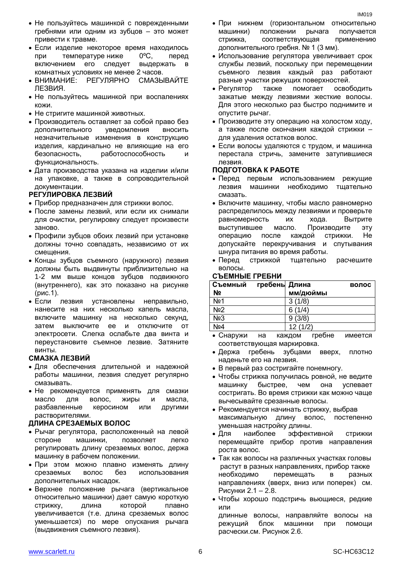- Не пользуйтесь машинкой с поврежденными гребнями или одним из зубцов – это может привести к травме.
- Если изделие некоторое время находилось при температуре ниже 0ºC, перед включением его следует выдержать в комнатных условиях не менее 2 часов.
- ВНИМАНИЕ: РЕГУЛЯРНО СМАЗЫВАЙТЕ ЛЕЗВИЯ.
- Не пользуйтесь машинкой при воспалениях кожи.
- Не стригите машинкой животных.
- Производитель оставляет за собой право без дополнительного уведомления вносить незначительные изменения в конструкцию изделия, кардинально не влияющие на его безопасность, работоспособность и функциональность.
- Дата производства указана на изделии и/или на упаковке, а также в сопроводительной документации.

#### **РЕГУЛИРОВКА ЛЕЗВИЙ**

- Прибор предназначен для стрижки волос.
- После замены лезвий, или если их снимали для очистки, регулировку следует произвести заново.
- Профили зубцов обоих лезвий при установке должны точно совпадать, независимо от их смещения.
- Концы зубцов съемного (наружного) лезвия должны быть выдвинуты приблизительно на 1-2 мм выше концов зубцов подвижного (внутреннего), как это показано на рисунке (рис.1).
- Если лезвия установлены неправильно, нанесите на них несколько капель масла, включите машинку на несколько секунд, затем выключите ее и отключите от электросети. Слегка ослабьте два винта и переустановите съемное лезвие. Затяните винты.

#### **СМАЗКА ЛЕЗВИЙ**

- Для обеспечения длительной и надежной работы машинки, лезвия следует регулярно смазывать.
- Не рекомендуется применять для смазки масло для волос, жиры и масла, разбавленные керосином или другими растворителями.

#### **ДЛИНА СРЕЗАЕМЫХ ВОЛОС**

- Рычаг регулятора, расположенный на левой стороне машинки, позволяет легко регулировать длину срезаемых волос, держа машинку в рабочем положении.
- При этом можно плавно изменять длину срезаемых волос без использования дополнительных насадок.
- Верхнее положение рычага (вертикальное относительно машинки) дает самую короткую стрижку, длина которой плавно увеличивается (т.е. длина срезаемых волос уменьшается) по мере опускания рычага (выдвижения съемного лезвия).
- При нижнем (горизонтальном относительно машинки) положении рычага получается стрижка, соответствующая применению дополнительного гребня. № 1 (3 мм).
- Использование регулятора увеличивает срок службы лезвий, поскольку при перемещении съемного лезвия каждый раз работают разные участки режущих поверхностей.
- Регулятор также помогает освободить зажатые между лезвиями жесткие волосы. Для этого несколько раз быстро поднимите и опустите рычаг.
- Производите эту операцию на холостом ходу, а также после окончания каждой стрижки – для удаления остатков волос.
- Если волосы удаляются с трудом, и машинка перестала стричь, замените затупившиеся лезвия.

#### **ПОДГОТОВКА К РАБОТЕ**

- Перед первым использованием режущие лезвия машинки необходимо тщательно смазать.
- Включите машинку, чтобы масло равномерно распределилось между лезвиями и проверьте равномерность их хода. Вытрите выступившее масло. Производите эту операцию после каждой стрижки. Не допускайте перекручивания и спутывания шнура питания во время работы.
- Перед стрижкой тщательно расчешите волосы.

#### **СЪЕМНЫЕ ГРЕБНИ**

| Съемный         | гребень Длина |               | волос |
|-----------------|---------------|---------------|-------|
| Nº              |               | мм/дюймы      |       |
| No <sub>1</sub> |               | 3(1/8)        |       |
| No <sub>2</sub> |               | 6(1/4)        |       |
| No <sub>3</sub> |               | 9(3/8)        |       |
| No4             |               | 12(1/2)       |       |
| $\sim$ $\sim$   |               | $\sim$ $\sim$ |       |

- Снаружи на каждом гребне имеется соответствующая маркировка.
- Держа гребень зубцами вверх, плотно наденьте его на лезвия.
- В первый раз состригайте понемногу.
- Чтобы стрижка получилась ровной, не ведите машинку быстрее, чем она успевает состригать. Во время стрижки как можно чаще вычесывайте срезанные волосы.
- Рекомендуется начинать стрижку, выбрав максимальную длину волос, постепенно уменьшая настройку длины.
- Для наиболее эффективной стрижки перемещайте прибор против направления роста волос.
- Так как волосы на различных участках головы растут в разных направлениях, прибор также необходимо перемещать в разных направлениях (вверх, вниз или поперек) см. Рисунки 2.1 – 2.8.
- Чтобы хорошо подстричь вьющиеся, редкие или
- длинные волосы, направляйте волосы на режущий блок машинки при помощи расчески.см. Рисунок 2.6.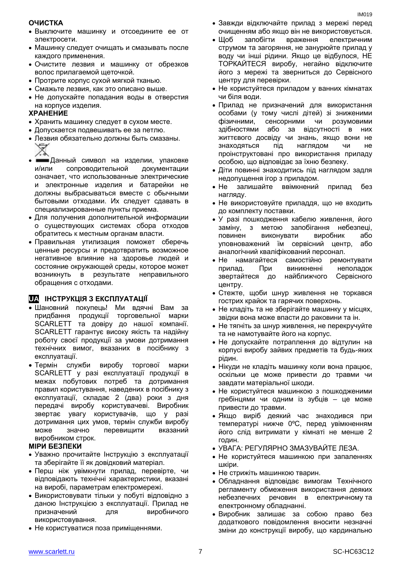#### **ОЧИСТКА**

- Выключите машинку и отсоедините ее от электросети.
- Машинку следует очищать и смазывать после каждого применения.
- Очистите лезвия и машинку от обрезков волос прилагаемой щеточкой.
- Протрите корпус сухой мягкой тканью.
- Смажьте лезвия, как это описано выше.
- Не допускайте попадания воды в отверстия на корпусе изделия.

#### **ХРАНЕНИЕ**

- Хранить машинку следует в сухом месте.
- Допускается подвешивать ее за петлю.
- Лезвия обязательно должны быть смазаны.
- Данный символ на изделии, упаковке и/или сопроводительной документации означает, что использованные электрические и электронные изделия и батарейки не должны выбрасываться вместе с обычными бытовыми отходами. Их следует сдавать в специализированные пункты приема.
- Для получения дополнительной информации о существующих системах сбора отходов обратитесь к местным органам власти.
- Правильная утилизация поможет сберечь ценные ресурсы и предотвратить возможное негативное влияние на здоровье людей и состояние окружающей среды, которое может возникнуть в результате неправильного обращения с отходами.

#### **UA IHCTPYKЦIЯ З ЕКСПЛУАТАЦІЇ**

- Шановний покупець! Ми вдячні Вам за продукції торговельної марки придбання SCARLETT та довіру до нашої компанії. SCARLETT гарантує високу якість та надійну роботу своєї продукції за умови дотримання технічних вимог, вказаних в посібнику з експлуатації.
- служби  $\bullet$  Tepmin виробу торгової марки SCARLETT у разі експлуатації продукції в межах побутових потреб та дотримання правил користування, наведених в посібнику з експлуатації, складає 2 (два) роки з дня передачі виробу користувачеві. Виробник звертає увагу користувачів, що у разі дотримання цих умов, термін служби виробу може значно перевищити вказаний виробником строк.

#### **МІРИ БЕЗПЕКИ**

- Уважно прочитайте Інструкцію з експлуатації та зберігайте її як довідковий матеріал.
- Перш ніж увімкнути прилад, перевірте, чи відповідають технічні характеристики, вказані на виробі, параметрам електромережі.
- Використовувати тільки у побуті відповідно з даною Інструкцією з експлуатації. Прилад не призначений ДЛЯ виробничого використовування.
- Не користуватися поза приміщеннями.
- Завжди відключайте прилад з мережі перед очищенням або якщо він не використовується.
- $\bullet$   $\underline{\text{II}}$ oб запобігти враження електричним струмом та загоряння, не занурюйте прилад у воду чи інші рідини. Якщо це відбулося, НЕ ТОРКАЙТЕСЯ виробу, негайно відключите його з мережі та зверниться до Сервісного центру для перевірки.
- Не користуйтеся приладом у ванних кімнатах чи біля води.
- Прилад не призначений для використання особами (у тому числі дітей) зі зниженими фізичними, сенсорними ЧИ розумовими здібностями або за відсутності в них життєвого досвіду чи знань, якщо вони не знаходяться піл наглядом ЧИ He проінструктовані про використання приладу особою, що відповідає за їхню безпеку.
- Діти повинні знаходитись під наглядом задля недопущення ігор з приладом.
- $\bullet$  He залишайте ввімкнений прилад без нагляду.
- Не використовуйте приладдя, що не входить до комплекту поставки.
- У разі пошкодження кабелю живлення, його з метою запобігання небезпеці. заміну. повинен виконувати виробник або уповноважений їм сервісний центр, або аналогічний кваліфікований персонал.
- Не намагайтеся самостійно ремонтувати прилад. При виникненні неполадок звертайтеся до найближчого Сервісного центру.
- Стежте, щоби шнур живлення не торкався гострих крайок та гарячих поверхонь.
- Не кладіть та не зберігайте машинку у місцях,  $\bullet$ звідки вона може впасти до раковини та ін.
- Не тягніть за шнур живлення, не перекручуйте та не намотувайте його на корпус.
- Не допускайте потраплення до відтулин на корпусі виробу зайвих предметів та будь-яких рідин.
- Нікуди не кладіть машинку коли вона працює. оскільки це може привести до травми чи завдати матеріальної шкоди.
- Не користуйтеся машинкою з пошкодженими гребінцями чи одним із зубців - це може привести до травми.
- Якщо виріб деякий час знаходився при температурі нижче 0°С, перед увімкненням його слід витримати у кімнаті не менше 2 годин.
- УВАГА: РЕГУЛЯРНО ЗМАЗУВАЙТЕ ЛЕЗА.
- Не користуйтеся машинкою при запаленнях шкіри.
- Не стрижіть машинкою тварин.
- Обладнання відповідає вимогам Технічного  $\bullet$ регламенту обмеження використання деяких небезпечних речовин в електричному та електронному обладнанні.
- Виробник залишає за собою право без додаткового повідомлення вносити незначні зміни до конструкції виробу, що кардинально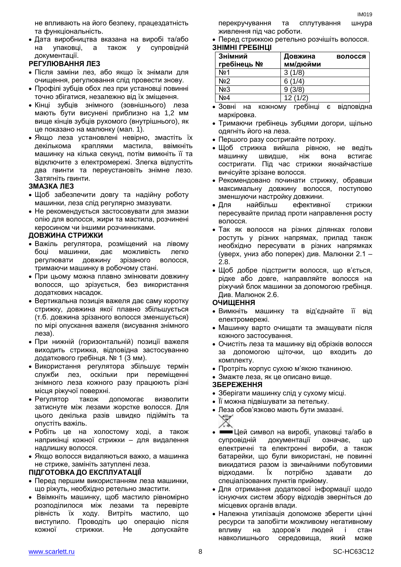не впливають на його безпеку, працездатність та функціональність.

 Дата виробництва вказана на виробі та/або на упаковці, а також у супровідній документації.

#### **РЕГУЛЮВАННЯ ЛЕЗ**

- Після заміни лез, або якщо їх знімали для очищення, регулювання слід провести знову.
- Профілі зубців обох лез при установці повинні точно збігатися, незалежно від їх зміщення.
- Кінці зубців знімного (зовнішнього) леза мають бути висунені приблизно на 1,2 мм вище кінців зубців рухомого (внутрішнього), як це показано на малюнку (мал. 1).
- Якщо леза установлені невірно, змастіть їх декількома краплями мастила, ввімкніть машинку на кілька секунд, потім вимкніть її та відключите з електромережі. Злегка відпустіть два гвинти та переустановіть знімне лезо. Затягніть гвинти.

#### **ЗМАЗКА ЛЕЗ**

- Щоб забезпечити довгу та надійну роботу машинки, леза слід регулярно змазувати.
- Не рекомендується застосовувати для змазки олію для волосся, жири та мастила, розчинені керосином чи іншими розчинниками.

#### **ДОВЖИНА СТРИЖКИ**

- Важіль регулятора, розміщений на лівому боці машинки, дає можливість легко регулювати довжину зрізаного волосся, тримаючи машинку в робочому стані.
- При цьому можна плавно змінювати довжину волосся, що зрізується, без використання додаткових насадок.
- Вертикальна позиція важеля дає саму коротку стрижку, довжина якої плавно збільшується (т.б. довжина зрізаного волосся зменшується) по мірі опускання важеля (висування знімного леза).
- При нижній (горизонтальній) позиції важеля виходить стрижка, відповідна застосуванню додаткового гребінця. № 1 (3 мм).
- Використання регулятора збільшує термін служби лез, оскільки при переміщенні знімного леза кожного разу працюють різні місця ріжучої поверхні.
- Регулятор також допомогає визволити затиснуте між лезами жорстке волосся. Для цього декілька разів швидко підійміть та опустіть важіль.
- Робіть це на холостому ході, а також наприкінці кожної стрижки – для видалення надлишку волосся.
- Якщо волосся видаляються важко, а машинка не стриже, замініть затуплені леза.

#### **ПІДГОТОВКА ДО ЕКСПЛУАТАЦІЇ**

- Перед першим використанням леза машинки, що ріжуть, необхідно ретельно змастити.
- Ввімкніть машинку, щоб мастило рівномірно розподілилося між лезами та перевірте рівність їх ходу. Витріть мастило, що виступило. Проводіть цю операцію після кожної стрижки. Не допускайте

перекручування та сплутування шнура живлення під час роботи.

 Перед стрижкою ретельно розчішіть волосся. **ЗНІМНІ ГРЕБІНЦІ**

| Знімний<br>гребінець № | Довжина<br>мм/дюйми | волосся |
|------------------------|---------------------|---------|
| No <sub>1</sub>        | 3(1/8)              |         |
| N <sub>2</sub>         | 6(1/4)              |         |
| No3                    | 9(3/8)              |         |
| Nº4                    | 12(1/2)             |         |

- Зовні на кожному гребінці є відповідна маркіровка.
- Тримаючи гребінець зубцями догори, щільно одягніть його на леза.
- Першого разу состригайте потроху.
- Щоб стрижка вийшла рівною, не ведіть машинку швидше, ніж вона встигає состригати. Під час стрижки якнайчастіше вичісуйте зрізане волосся.
- Рекомендовано починати стрижку, обравши максимальну довжину волосся, поступово зменшуючи настройку довжини.
- Для найбільш ефективної стрижки пересувайте прилад проти направлення росту волосся.
- Так як волосся на різних ділянках голови ростуть у різних напрямах, прилад також необхідно пересувати в різних напрямках (уверх, униз або поперек) див. Малюнки 2.1 – 2.8.
- Щоб добре підстригти волосся, що в'ється, рідке або довге, направляйте волосся на ріжучий блок машинки за допомогою гребінця. Див. Малюнок 2.6.

#### **ОЧИЩЕННЯ**

- Вимкніть машинку та від'єднайте її від електромережі.
- Машинку варто очищати та змащувати після кожного застосування.
- Очистіть леза та машинку від обрізків волосся за допомогою щіточки, що входить до комплекту.
- Протріть корпус сухою м'якою тканиною.
- Змажте леза, як це описано вище.

#### **ЗБЕРЕЖЕННЯ**

- Зберігати машинку слід у сухому місці.
- Її можна підвішувати за петельку.
- Леза обов'язково мають бути змазані.
- Цей символ на виробі, упаковці та/або в супровідній документації означає, що електричні та електронні вироби, а також батарейки, що були використані, не повинні викидатися разом із звичайними побутовими відходами. Їх потрібно здавати до спеціалізованих пунктів прийому.
- Для отримання додаткової інформації щодо існуючих систем збору відходів зверніться до місцевих органів влади.
- Належна утилізація допоможе зберегти цінні ресурси та запобігти можливому негативному впливу на здоров'я людей і стан навколишнього середовища, який може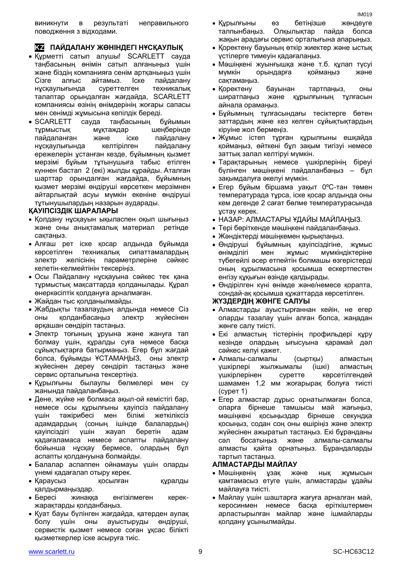виникнути в результаті неправильного поводження з відходами.

#### **KZ ПАЙДАЛАНУ ЖӨНІНДЕГІ НҰСҚАУЛЫҚ**

- Құрметті сатып алушы! SCARLETT сауда таңбасының өнімін сатып алғаныңыз үшін және біздің компанияға сенім артқаныңыз үшін Сізге алғыс айтамыз. Іске пайдалану нұсқаулығында суреттелген техникалық талаптар орындалған жағдайда, SCARLETT компаниясы өзінің өнімдерінің жоғары сапасы мен сенімді жұмысына кепілдік береді.
- SCARLETT сауда таңбасының бұйымын тұрмыстық мұқтаждар шеңберінде пайдаланған және іске пайдалану нұсқаулығында келтірілген пайдалану ережелерін ұстанған кезде, бұйымның қызмет мерзімі бұйым тұтынушыға табыс етілген күннен бастап 2 (екі) жылды құрайды. Аталған шарттар орындалған жағдайда, бұйымның қызмет мерзімі өндіруші көрсеткен мерзімнен айтарлықтай асуы мүмкін екеніне өндіруші тұтынушылардың назарын аударады.

#### **ҚАУІПСІЗДІК ШАРАЛАРЫ**

- Қолдану нұсқауын ықыласпен оқып шығыңыз және оны анықтамалық материал ретінде сақтаңыз.
- Алғаш рет іске қосар алдында бұйымда көрсетілген техникалық сипаттамалардың электр желісінің параметрлеріне сәйкес келетін-келмейтінін тексеріңіз.
- Осы Пайдалану нұсқауына сәйкес тек қана тұрмыстық мақсаттарда қолданылады. Құрал өнеркәсіптік қолдануға арналмаған.
- Жайдан тыс қолданылмайды.
- Жабдықты тазалаудың алдында немесе Сіз оны қолданбасаңыз электр жүйесінен әрқашан сөндіріп тастаңыз.
- Электр тоғының ұруына және жануға тап болмау үшін, құралды суға немесе басқа сұйықтықтарға батырмаңыз. Егер бұл жағдай болса, бұйымды ҰСТАМАҢЫЗ, оны электр жүйесінен дереу сөндіріп тастаңыз және сервис орталығына тексертіңіз.
- Құрылғыны былаулы бөлмелері мен су жанында пайдаланбаңыз.
- Дене, жүйке не болмаса ақыл-ой кемістігі бар, немесе осы құрылғыны қауіпсіз пайдалану үшін тәжірибесі мен білімі жеткіліксіз адамдардың (соның ішінде балалардың) қауіпсіздігі үшін жауап беретін адам қадағаламаса немесе аспапты пайдалану бойынша нұсқау бермесе, олардың бұл аспапты қолдануына болмайды.
- Балалар аспаппен ойнамауы үшін оларды үнемі қадағалап отыру керек.
- Қараусыз қосылған құралды қалдырмаңыздар.
- Бересі жинаққа енгізілмеген керекжарақтарды қолданбаңыз.
- Қуат бауы бүлінген жағдайда, қатерден аулақ болу үшін оны ауыстыруды өндіруші, сервистік қызмет немесе соған ұқсас білікті қызметкерлер іске асыруға тиіс.
- Құрылғыны өз бетіңізше жөндеуге талпынбаңыз. Олқылықтар пайда болса жақын арадағы сервис орталығына апарыңыз.
- Қоректену бауының өткір жиектер және ыстық үстілерге тимеуін қадағалаңыз.
- Мәшіңкені жуынғышқа және т.б. құлап түсуі мүмкін орындарға қоймаңыз және сақтамаңыз.
- Қоректену бауынан тартпаңыз, оны ширатпаңыз және құрылғының тұлғасын айнала орамаңыз.
- Бұйымның тұлғасындағы тесіктерге бөтен заттардың және кез келген сұйықтықтардың кіруіне жол бермеңіз.
- Жұмыс істеп тұрған құрылғыны ешқайда қоймаңыз, өйткені бұл зақым тигізуі немесе заттық залал келтіруі мүмкін.
- Тарақтарының немесе үшкірлерінің біреуі бүлінген мәшіңкені пайдаланбаңыз – бұл зақымдалуға әкелуі мүмкін.
- Егер бұйым біршама уақыт 0ºC-тан төмен температурада тұрса, іске қосар алдында оны кем дегенде 2 сағат бөлме температурасында ұстау керек.
- НАЗАР: АЛМАСТАРЫ ҰДАЙЫ МАЙЛАҢЫЗ.
- Тері бөріткенде мәшіңкені пайдаланбаңыз.
- Жәндіктерді мәшіңкемен қырықпаңыз.
- Өндіруші бұйымның қауіпсіздігіне, жұмыс өнімділігі мен жұмыс мүмкіндіктеріне түбегейлі әсер етпейтін болмашы өзгерістерді оның құрылмасына қосымша ескертпестен енгізу құқығын өзінде қалдырады.
- Өндірілген күні өнімде және/немесе қорапта, сондай-ақ қосымша құжаттарда көрсетілген.

#### **ЖҮЗДЕРДІҢ ЖӨНГЕ САЛУЫ**

- Алмастарды ауыстырғаннан кейін, не егер оларды тазалау үшін алған болса, жаңадан жөнге салу тиісті.
- Екі алмастың тістерінің профильдері құру кезінде олардың ығысуына қарамай дәл сәйкес келуі қажет.
- Алмалы-салмалы (сыртқы) алмастың үшкірлері жылжымалы (ішкі) алмастың үшкірлерінен суретте көрсетілгендей шамамен 1,2 мм жоғарырақ болуға тиісті (сурет 1)
- Егер алмастар дұрыс орнатылмаған болса, оларға бірнеше тамшысы май жағыңыз, мәшіңкені қосыңыздар бірнеше секундқа қосыңыз, содан соң оны өшіріңіз және электр жүйесінен ажыратып тастаңыз. Екі бұранданы сәл босатыңыз және алмалы-салмалы алмасты қайта орнатыңыз. Бұрандаларды тартып тастаңыз.

#### **АЛМАСТАРДЫ МАЙЛАУ**

- Мәшіңкенің ұзақ және нық жұмысын қамтамасыз етуге үшін, алмастарды ұдайы майлауға тиісті.
- Майлау үшін шаштарға жағуға арналған май, керосинмен немесе басқа еріткіштермен арластырылған майлар және ішмайларды қолдану ұсынылмайды.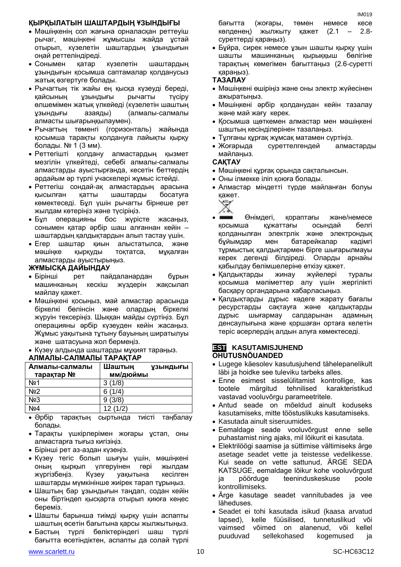#### **ҚЫРҚЫЛАТЫН ШАШТАРДЫҢ ҰЗЫНДЫҒЫ**

- Мәшіңкенің сол жағына орналасқан реттеуіш рычаг, мәшіңкені жұмысшы жайда ұстай отырып, күзелетін шаштардың ұзындығын оңай реттеліндіреді.
- Сонымен қатар күзелетін шаштардың ұзындығын қосымша саптамалар қолданусыз жатық өзгертуге болады.
- Рычагтың тік жайы ең қысқа күзеуді береді, қайсының ұзындығы рычагты түсіру өлшемімен жатық үлкейеді (күзелетін шаштың ұзындығы азаяды) (алмалы-салмалы алмасты шығарыңқылаумен).
- Рычагтың төменгі (горизонталь) жайында қосымша тарақты қолдануға лайықты қырқу болады. № 1 (3 мм).
- Реттегішті қолдану алмастардың қызмет мезгілін үлкейтеді, себебі алмалы-салмалы алмастарды ауыстырғанда, кесетін беттердің әрдайым әр түрлі учаскелері жұмыс істейді.
- Реттегіш сондай-ақ алмастардың арасына қысылған қатты шаштарды босатуға көмектеседі. Бұл үшін рычагты бірнеше рет жылдам көтеріңіз және түсіріңіз.
- Бұл операцияны бос жүрісте жасаңыз, сонымен қатар әрбір шаш алғаннан кейін – шаштардың қалдықтардын алып тастау үшін.
- Егер шаштар қиын алыстатылса, және мәшіңке қырқуды тоқтатса, мұқалған алмастарды ауыстырыңыз.

#### **ЖҰМЫСҚА ДАЙЫНДАУ**

- Бірінші рет пайдаланардан бұрын машинканың кескіш жүздерін жақсылап майлау қажет.
- Мәшіңкені қосыңыз, май алмастар арасында біркелкі бөлінсін және олардың біркелкі жүруін тексеріңіз. Шыққан майды сүртіңіз. Бұл операцияны әрбір күзеуден кейін жасаңыз. Жұмыс уақытына тұтыну бауының ширатылуы және шатасуына жол бермеңіз.
- Күзеу алдында шаштарды мұқият тараңыз.

#### **АЛМАЛЫ-САЛМАЛЫ ТАРАҚТАР**

| Алмалы-салмалы<br>тарақтар № | Шаштың<br><b>УЗЫНДЫҒЫ</b><br>мм/дюймы |
|------------------------------|---------------------------------------|
| No1                          | 3(1/8)                                |
| N <sub>2</sub>               | 6(1/4)                                |
| N <sub>23</sub>              | 9(3/8)                                |
| No <sub>4</sub>              | 12(1/2)                               |
| $\sim$ $\sim$                |                                       |

- Әрбір тарақтың сыртында тиісті таңбалау болады.
- Тарақты үшкірлерімен жоғары ұстап, оны алмастарға тығыз кигізіңіз.
- Бірінші рет аз-аздан күзеңіз.
- Күзеу тегіс болып шығуы үшін, мәшіңкені оның қырқып үлгеруінен гөрі жылдам жүргізбеңіз. Күзеу уақытына кесілген шаштарды мүмкінінше жиірек тарап тұрыңыз.
- Шаштың бар ұзындығын таңдап, содан кейін оны біртіндеп қысқарта отырып қиюға кеңес береміз.
- Шашты барынша тиімді қырқу үшін аспапты шаштың өсетін бағытына қарсы жылжытыңыз.
- Бастың түрлі бөліктеріндегі шаш түрлі бағытта өсетіндіктен, аспапты да солай түрлі

бағытта (жоғары, төмен немесе кесе көлденең) жылжыту қажет (2.1 – 2.8 суреттерді қараңыз).

 Бұйра, сирек немесе ұзын шашты қырқу үшін шашты машинканың қырыққыш бөлігіне тарақтың көмегімен бағыттаңыз (2.6-суретті қараңыз).

#### **ТАЗАЛАУ**

- Мәшіңкені өшіріңіз және оны электр жүйесінен ажыратыңыз.
- Мәшіңкені әрбір қолданудан кейін тазалау және май жағу керек.
- Қосымша щөткемен алмастар мен мәшіңкені шаштың кесінділерінен тазалаңыз.
- Тұлғаны құрғақ жұмсақ матамен сүртіңіз.
- Жоғарыда суреттелгендей алмастарды майлаңыз.

#### **САҚТАУ**

- Мәшіңкені құрғақ орында сақталынсын.
- Оны ілмекке іліп қоюға болады.
- Алмастар міндетті түрде майланған болуы қажет.

- Өнімдегі, қораптағы және/немесе қосымша құжаттағы осындай белгі қолданылған электрлік және электрондық бұйымдар мен батарейкалар кәдімгі тұрмыстық қалдықтармен бірге шығарылмауы керек дегенді білдіреді. Оларды арнайы қабылдау бөлімшелеріне өткізу қажет.
- Қалдықтарды жинау жүйелері туралы қосымша мәліметтер алу үшін жергілікті басқару органдарына хабарласыңыз.
- Қалдықтарды дұрыс кәдеге жарату бағалы ресурстарды сақтауға және қалдықтарды дұрыс шығармау салдарынан адамның денсаулығына және қоршаған ортаға келетін теріс әсерлердің алдын алуға көмектеседі.

#### **EST KASUTAMISJUHEND OHUTUSNÕUANDED**

- Lugege käesolev kasutusjuhend tähelepanelikult läbi ja hoidke see tuleviku tarbeks alles.
- Enne esimest sisselülitamist kontrollige, kas tootele märgitud tehnilised karakteristikud vastavad vooluvõrgu parameetritele.
- Antud seade on mõeldud ainult koduseks kasutamiseks, mitte tööstuslikuks kasutamiseks.
- Kasutada ainult siseruumides.
- Eemaldage seade vooluvõrgust enne selle puhastamist ning ajaks, mil lõikurit ei kasutata.
- Elektrilöögi saamise ja süttimise vältimiseks ärge asetage seadet vette ja teistesse vedelikesse. Kui seade on vette sattunud, ÄRGE SEDA KATSUGE, eemaldage lõikur kohe vooluvõrgust ja pöörduge teeninduskeskuse poole kontrollimiseks.
- Ärge kasutage seadet vannitubades ja vee läheduses.
- Seadet ei tohi kasutada isikud (kaasa arvatud lapsed), kelle füüsilised, tunnetuslikud või vaimsed võimed on alanenud, või kellel puuduvad sellekohased kogemused ja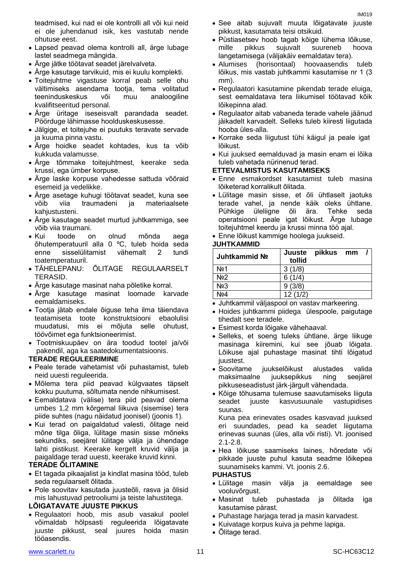- Lapsed peavad olema kontrolli all, ärge lubage lastel seadmega mängida.
- Ärge jätke töötavat seadet järelvalveta.
- Ärge kasutage tarvikuid, mis ei kuulu komplekti.
- Toitejuhtme vigastuse korral peab selle ohu vältimiseks asendama tootja, tema volitatud teeninduskeskus või muu analoogiline kvalifitseeritud personal.
- Ärge üritage iseseisvalt parandada seadet. Pöörduge lähimasse hoolduskeskusesse.
- Jälgige, et toitejuhe ei puutuks teravate servade ja kuuma pinna vastu.
- Ärge hoidke seadet kohtades, kus ta võib kukkuda valamusse.
- Ärge tõmmake toitejuhtmest, keerake seda krussi, ega ümber korpuse.
- Ärge laske korpuse vahedesse sattuda võõraid esemeid ja vedelikke.
- Ärge asetage kuhugi töötavat seadet, kuna see võib viia traumadeni ja materiaalsete kahjustusteni.
- Ärge kasutage seadet murtud juhtkammiga, see võib viia traumani.
- Kui toode on olnud mõnda aega õhutemperatuuril alla 0 ºC, tuleb hoida seda enne sisselülitamist vähemalt 2 tundi toatemperatuuril.
- TÄHELEPANU: ÕLITAGE REGULAARSELT TERASID.
- Ärge kasutage masinat naha põletike korral.
- Ärge kasutage masinat loomade karvade eemaldamiseks.
- Tootja jätab endale õiguse teha ilma täiendava teatamiseta toote konstruktsiooni ebaolulisi muudatusi, mis ei mõjuta selle ohutust, töövõimet ega funktsioneerimist.
- Tootmiskuupäev on ära toodud tootel ja/või pakendil, aga ka saatedokumentatsioonis.

#### **TERADE REGULEERIMINE**

- Peale terade vahetamist või puhastamist, tuleb neid uuesti reguleerida.
- Mõlema tera piid peavad külgvaates täpselt kokku puutuma, sõltumata nende nihkumisest.
- Eemaldatava (välise) tera piid peavad olema umbes 1,2 mm kõrgemal liikuva (sisemise) tera piide suhtes (nagu näidatud joonisel) (joonis 1).
- Kui terad on paigaldatud valesti, õlitage neid mõne tilga õliga, lülitage masin sisse mõneks sekundiks, seejärel lülitage välja ja ühendage lahti pistikust. Keerake kergelt kruvid välja ja paigaldage terad uuesti, keerake kruvid kinni.

#### **TERADE ÕLITAMINE**

- Et tagada pikaajalist ja kindlat masina tööd, tuleb seda regulaarselt õlitada.
- Pole soovitav kasutada juusteõli, rasva ja õlisid mis lahustuvad petrooliumi ja teiste lahustitega.

#### **LÕIGATAVATE JUUSTE PIKKUS**

 Regulaatori hoob, mis asub vasakul poolel võimaldab hõlpsasti reguleerida lõigatavate juuste pikkust, seal juures hoida masin tööasendis.

- See aitab sujuvalt muuta lõigatavate juuste pikkust, kasutamata teisi otsikuid.
- Püstiasetsev hoob tagab kõige lühema lõikuse, mille pikkus sujuvalt suureneb hoova langetamisega (väljakäiv eemaldatav tera).
- Alumises (horisontaal) hoovaasendis tuleb lõikus, mis vastab juhtkammi kasutamise nr 1 (3 mm).
- Regulaatori kasutamine pikendab terade eluiga, sest eemaldatava tera liikumisel töötavad kõik lõikepinna alad.
- Regulaator aitab vabaneda terade vahele jäänud jäikadelt karvadelt. Selleks tuleb kiiresti liigutada hooba üles-alla.
- Korrake seda liigutust tühi käigul ja peale igat lõikust.
- Kui juuksed eemalduvad ja masin enam ei lõika tuleb vahetada nürinenud terad.

#### **ETTEVALMISTUS KASUTAMISEKS**

- Enne esmakordset kasutamist tuleb masina lõiketerad korralikult õlitada.
- Lülitage masin sisse, et õli ühtlaselt jaotuks terade vahel, ja nende käik oleks ühtlane. Pühkige üleliigne õli ära. Tehke seda operatsiooni peale igat lõikust. Ärge lubage toitejuhtmel keerdu ja krussi minna töö ajal.

#### Enne lõikust kammige hoolega juukseid.

#### **JUHTKAMMID**

| Juhtkammid No    | Juuste<br>tollid | pikkus | mm |  |
|------------------|------------------|--------|----|--|
| N <sub>2</sub> 1 | 3(1/8)           |        |    |  |
| N <sub>2</sub>   | 6(1/4)           |        |    |  |
| No <sub>3</sub>  | 9(3/8)           |        |    |  |
| No4              | 12(1/2)          |        |    |  |

- Juhtkammil väljaspool on vastav markeering.
- Hoides juhtkammi piidega ülespoole, paigutage tihedalt see teradele.
- Esimest korda lõigake vähehaaval.
- Selleks, et soeng tuleks ühtlane, ärge liikuge masinaga kiiremini, kui see jõuab lõigata. Lõikuse ajal puhastage masinat tihti lõigatud juustest.
- Soovitame juukselõikust alustades valida maksimaalne juuksepikkus ning seejärel pikkuseseadistust järk-järgult vähendada.
- Kõige tõhusama tulemuse saavutamiseks liiguta seadet juuste kasvusuunale vastupidises suunas.

Kuna pea erinevates osades kasvavad juuksed eri suundades, pead ka seadet liigutama erinevas suunas (üles, alla või risti). Vt. joonised 2.1-2.8.

 Hea lõikuse saamiseks laines, hõredate või pikkade juuste puhul kasuta seadme lõikepea suunamiseks kammi. Vt. joonis 2.6.

#### **PUHASTUS**

- Lülitage masin välja ja eemaldage see vooluvõrgust.
- Masinat tuleb puhastada ja õlitada iga kasutamise pärast.
- Puhastage harjaga terad ja masin karvadest.
- Kuivatage korpus kuiva ja pehme lapiga.
- Õlitage terad.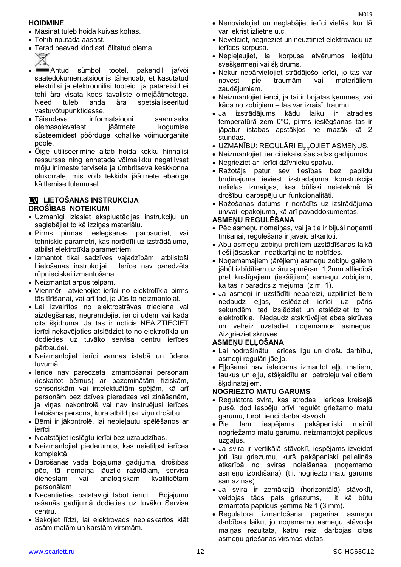#### **HOIDMINE**

- Masinat tuleb hoida kuivas kohas.
- Tohib riputada aasast.
- Terad peavad kindlasti õlitatud olema.
- Antud sümbol tootel, pakendil ja/või saatedokumentatsioonis tähendab, et kasutatud elektrilisi ja elektroonilisi tooteid ja patareisid ei tohi ära visata koos tavaliste olmejäätmetega. Need tuleb anda ära spetsialiseeritud vastuvõtupunktidesse.
- Täiendava informatsiooni saamiseks olemasolevatest jäätmete kogumise süsteemidest pöörduge kohalike võimuorganite poole.
- Õige utiliseerimine aitab hoida kokku hinnalisi ressursse ning ennetada võimalikku negatiivset mõju inimeste tervisele ja ümbritseva keskkonna olukorrale, mis võib tekkida jäätmete ebaõige käitlemise tulemusel.

#### **LV LIETOŠANAS INSTRUKCIJA DROŠĪBAS NOTEIKUMI**

- Uzmanīgi izlasiet ekspluatācijas instrukciju un saglabājiet to kā izziņas materiālu.
- Pirms pirmās ieslēgšanas pārbaudiet, vai tehniskie parametri, kas norādīti uz izstrādājuma, atbilst elektrotīkla parametriem
- Izmantot tikai sadzīves vajadzībām, atbilstoši Lietošanas instrukcijai. Ierīce nav paredzēts rūpnieciskai izmantošanai.
- Neizmantot ārpus telpām.
- Vienmēr atvienojiet ierīci no elektrotīkla pirms tās tīrīšanai, vai arī tad, ja Jūs to neizmantojat.
- Lai izvairītos no elektrostrāvas trieciena vai aizdegšanās, negremdējiet ierīci ūdenī vai kādā citā šķidrumā. Ja tas ir noticis NEAIZTIECIET ierīci nekavējoties atslēdziet to no elektrotīkla un dodieties uz tuvāko servisa centru ierīces pārbaudei.
- Neizmantojiet ierīci vannas istabā un ūdens tuvumā.
- Ierīce nav paredzēta izmantošanai personām (ieskaitot bērnus) ar pazeminātām fiziskām, sensoriskām vai intelektuālām spējām, kā arī personām bez dzīves pieredzes vai zināšanām, ja viņas nekontrolē vai nav instruējusi ierīces lietošanā persona, kura atbild par viņu drošību
- Bērni ir jākontrolē, lai nepieļautu spēlēšanos ar ierīci
- Neatstājiet ieslēgtu ierīci bez uzraudzības.
- Neizmantojiet piederumus, kas neietilpst ierīces komplektā.
- Barošanas vada bojājuma gadījumā, drošības pēc, tā nomaiņa jāuztic ražotājam, servisa dienestam vai analoģiskam kvalificētam personālam
- Necentieties patstāvīgi labot ierīci. Bojājumu rašanās gadījumā dodieties uz tuvāko Servisa centru.
- Sekojiet līdzi, lai elektrovads nepieskartos klāt asām malām un karstām virsmām.
- Nenovietojiet un neglabājiet ierīci vietās, kur tā var iekrist izlietnē u.c.
- Nevelciet, negrieziet un neuztiniet elektrovadu uz ierīces korpusa.
- Nepieļaujiet, lai korpusa atvērumos iekļūtu svešķermeņi vai šķidrums.
- Nekur nepārvietojiet strādājošo ierīci, jo tas var novest pie traumām vai materiāliem zaudējumiem.
- Neizmantojiet ierīci, ja tai ir bojātas ķemmes, vai kāds no zobiņiem – tas var izraisīt traumu.
- Ja izstrādājums kādu laiku ir atradies temperatūrā zem 0ºC, pirms ieslēgšanas tas ir jāpatur istabas apstākļos ne mazāk kā 2 stundas.
- UZMANĪBU: REGULĀRI EĻĻOJIET ASMEŅUS.
- Neizmantojiet ierīci iekaisušas ādas gadījumos.
- Negrieziet ar ierīci dzīvnieku spalvu.
- Ražotājs patur sev tiesības bez papildu brīdinājuma ieviest izstrādājuma konstrukcijā nelielas izmaiņas, kas būtiski neietekmē tā drošību, darbspēju un funkcionalitāti.
- Ražošanas datums ir norādīts uz izstrādājuma un/vai iepakojuma, kā arī pavaddokumentos.

#### **ASMEŅU REGULĒŠANA**

- Pēc asmeņu nomaiņas, vai ja tie ir bijuši noņemti tīrīšanai, regulēšana ir jāveic atkārtoti.
- Abu asmeņu zobiņu profiliem uzstādīšanas laikā tieši jāsaskan, neatkarīgi no to nobīdes.
- Noņemamajiem (ārējiem) asmeņu zobiņu galiem jābūt izbīdītiem uz āru apmēram 1,2mm attiecībā pret kustīgajiem (iekšējiem) asmeņu zobiņiem, kā tas ir parādīts zīmējumā (zīm. 1).
- Ja asmeņi ir uzstādīti nepareizi, uzpiliniet tiem nedaudz eļļas, ieslēdziet ierīci uz pāris sekundēm, tad izslēdziet un atslēdziet to no elektrotīkla. Nedaudz atskrūvējiet abas skrūves un vēlreiz uzstādiet noņemamos asmeņus. Aizgrieziet skrūves.

#### **ASMEŅU EĻĻOŠANA**

- Lai nodrošinātu ierīces ilgu un drošu darbību, asmeni regulāri jāello.
- Eļļošanai nav ieteicams izmantot eļļu matiem, taukus un eļļu, atšķaidītu ar petroleju vai citiem šķīdinātājiem.

#### **NOGRIEZTO MATU GARUMS**

- Regulatora svira, kas atrodas ierīces kreisajā pusē, dod iespēju brīvi regulēt griežamo matu garumu, turot ierīci darba stāvoklī.
- Pie tam iespējams pakāpeniski mainīt nogriežamo matu garumu, neizmantojot papildus uzgaļus.
- Ja svira ir vertikālā stāvoklī, iespējams izveidot ļoti īsu griezumu, kurš pakāpeniski palielinās atkarībā no sviras nolaišanas (noņemamo asmeņu izbīdīšana), (t.i. nogriezto matu garums samazinās)..
- Ja svira ir zemākajā (horizontālā) stāvoklī, veidojas tāds pats griezums, it kā būtu izmantota papildus ķemme № 1 (3 mm).
- Regulatora izmantošana pagarina asmeņu darbības laiku, jo noņemamo asmeņu stāvokļa maiņas rezultātā, katru reizi darbojas citas asmeņu griešanas virsmas vietas.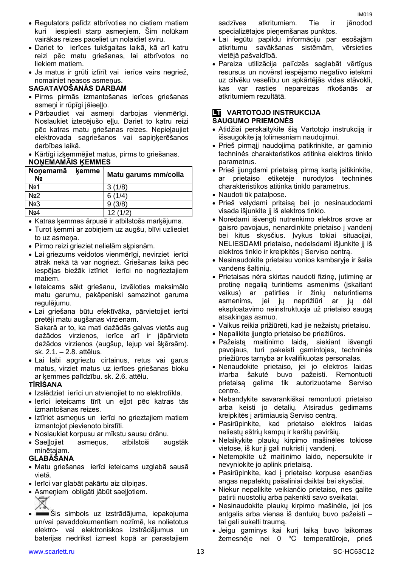- Regulators palīdz atbrīvoties no cietiem matiem kuri iespiesti starp asmeņiem. Šim nolūkam vairākas reizes paceliet un nolaidiet sviru.
- Dariet to ierīces tukšgaitas laikā, kā arī katru reizi pēc matu griešanas, lai atbrīvotos no liekiem matiem.
- Ja matus ir grūti iztīrīt vai ierīce vairs negriež, nomainiet neasos asmeņus.

#### **SAGATAVOŠANĀS DARBAM**

- Pirms pirmās izmantošanas ierīces griešanas asmeņi ir rūpīgi jāieeļļo.
- Pārbaudiet vai asmeņi darbojas vienmērīgi. Noslaukiet iztecējušo eļļu. Dariet to katru reizi pēc katras matu griešanas reizes. Nepieļaujiet elektrovada sagriešanos vai sapiņķerēšanos darbības laikā.

Kārtīgi izķemmējiet matus, pirms to griešanas.

#### **NOŅEMAMĀIS ĶEMMES**

| Nonemamā<br>N <sub>2</sub> | kemme | Matu garums mm/colla |
|----------------------------|-------|----------------------|
| Nº1                        |       | 3(1/8)               |
| No <sub>2</sub>            |       | 6(1/4)               |
| No <sub>3</sub>            |       | 9(3/8)               |
| Nº4                        |       | 12(1/2)              |

Katras ķemmes ārpusē ir atbilstošs marķējums.

- Turot ķemmi ar zobiņiem uz augšu, blīvi uzlieciet to uz asmeņa.
- Pirmo reizi grieziet nelielām sķpisnām.
- Lai griezums veidotos vienmērīgi, nevirziet ierīci ātrāk nekā tā var nogriezt. Griešanas laikā pēc iespējas biežāk iztīriet ierīci no nogrieztajiem matiem.
- Ieteicams sākt griešanu, izvēloties maksimālo matu garumu, pakāpeniski samazinot garuma regulējumu.
- Lai griešana būtu efektīvāka, pārvietojiet ierīci pretēji matu augšanas virzienam. Sakarā ar to, ka mati dažādās galvas vietās aug dažādos virzienos, ierīce arī ir jāpārvieto dažādos virzienos (augšup, lejup vai šķērsām). sk. 2.1. – 2.8. attēlus.
- Lai labi apgrieztu cirtainus, retus vai garus matus, virziet matus uz ierīces griešanas bloku ar ķemmes palīdzību. sk. 2.6. attēlu.

#### **TĪRĪŠANA**

- Izslēdziet ierīci un atvienojiet to no elektrotīkla.
- Ierīci ieteicams tīrīt un eļļot pēc katras tās izmantošanas reizes.
- Iztīriet asmeņus un ierīci no grieztajiem matiem izmantojot pievienoto birstīti.
- Noslaukiet korpusu ar mīkstu sausu drānu.
- Saeļļojiet asmeņus, atbilstoši augstāk minētajam.

#### **GLABĀŠANA**

- Matu griešanas ierīci ieteicams uzglabā sausā vietā.
- Ierīci var glabāt pakārtu aiz cilpiņas.
- Asmeņiem obligāti jābūt saeļļotiem.
- Šis simbols uz izstrādājuma, iepakojuma un/vai pavaddokumentiem nozīmē, ka nolietotus elektro- vai elektroniskos izstrādājumus un baterijas nedrīkst izmest kopā ar parastajiem

sadzīves atkritumiem. Tie ir jānodod specializētajos pieņemšanas punktos.

IM019

- Lai iegūtu papildu informāciju par esošajām atkritumu savākšanas sistēmām, vērsieties vietējā pašvaldībā.
- Pareiza utilizācija palīdzēs saglabāt vērtīgus resursus un novērst iespējamo negatīvo ietekmi uz cilvēku veselību un apkārtējās vides stāvokli, kas var rasties nepareizas rīkošanās ar atkritumiem rezultātā.

#### **LT** VARTOTOJO INSTRUKCIJA **SAUGUMO PRIEMONĖS**

- Atidžiai perskaitykite šią Vartotojo instrukciją ir išsaugokite ją tolimesniam naudojimui.
- Prieš pirmąjį naudojimą patikrinkite, ar gaminio techninės charakteristikos atitinka elektros tinklo parametrus.
- Prieš įjungdami prietaisą pirmą kartą įsitikinkite, ar prietaiso etiketėje nurodytos techninės charakteristikos atitinka tinklo parametrus.
- Naudoti tik patalpose.
- Prieš valydami pritaisą bei jo nesinaudodami visada išjunkite jį iš elektros tinklo.
- Norėdami išvengti nutrenkimo elektros srove ar gaisro pavojaus, nenardinkite prietaiso į vandenį bei kitus skysčius. Įvykus tokiai situacijai, NELIESDAMI prietaiso, nedelsdami išjunkite jį iš elektros tinklo ir kreipkitės į Serviso centrą.
- Nesinaudokite prietaisu vonios kambaryje ir šalia vandens šaltinių.
- Prietaisas nėra skirtas naudoti fizinę, jutiminę ar protinę negalią turintiems asmenims (įskaitant vaikus) ar patirties ir žinių neturintiems asmenims, jei jų neprižiūri ar jų dėl eksploatavimo neinstruktuoja už prietaiso saugą atsakingas asmuo.
- Vaikus reikia prižiūrėti, kad jie nežaistų prietaisu.
- Nepalikite įjungto prietaiso be priežiūros.
- Pažeistą maitinimo laidą, siekiant išvengti pavojaus, turi pakeisti gamintojas, techninės priežiūros tarnyba ar kvalifikuotas personalas.
- Nenaudokite prietaiso, jei jo elektros laidas ir/arba šakutė buvo pažeisti. Remontuoti prietaisą galima tik autorizuotame Serviso centre.
- Nebandykite savarankiškai remontuoti prietaiso arba keisti jo detalių. Atsiradus gedimams kreipkitės į artimiausią Serviso centrą.
- Pasirūpinkite, kad prietaiso elektros laidas neliestų aštrių kampų ir karštų paviršių.
- Nelaikykite plaukų kirpimo mašinėlės tokiose vietose, iš kur ji gali nukristi į vandenį.
- Netempkite už maitinimo laido, nepersukite ir nevyniokite jo aplink prietaisą.
- Pasirūpinkite, kad į prietaiso korpuse esančias angas nepatektų pašaliniai daiktai bei skysčiai.
- Niekur nepalikite veikiančio prietaiso, nes galite patirti nuostolių arba pakenkti savo sveikatai.
- Nesinaudokite plaukų kirpimo mašinėle, jei jos antgalis arba vienas iš dantukų buvo pažeisti – tai gali sukelti traumą.
- Jeigu gaminys kai kurį laiką buvo laikomas žemesnėje nei 0 ºC temperatūroje, prieš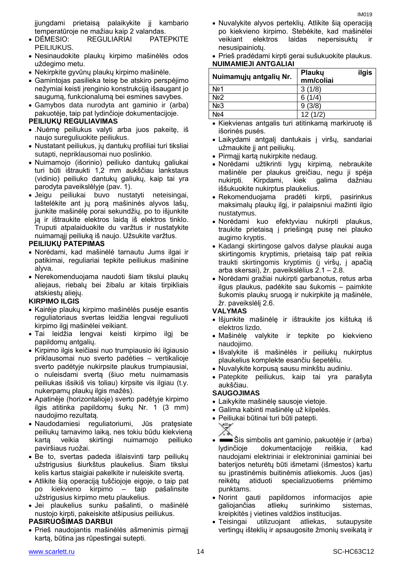įjungdami prietaisą palaikykite jį kambario temperatūroje ne mažiau kaip 2 valandas.

- DĖMESIO: REGULIARIAI PATEPKITE PEILIUKUS.
- Nesinaudokite plaukų kirpimo mašinėlės odos uždegimo metu.
- Nekirpkite gyvūnų plaukų kirpimo mašinėle.
- Gamintojas pasilieka teisę be atskiro perspėjimo nežymiai keisti įrenginio konstrukciją išsaugant jo saugumą, funkcionalumą bei esmines savybes.
- Gamybos data nurodyta ant gaminio ir (arba) pakuotėje, taip pat lydinčioje dokumentacijoje.

#### **PEILIUKŲ REGULIAVIMAS**

- .Nuėmę peiliukus valyti arba juos pakeitę, iš naujo sureguliuokite peiliukus.
- Nustatant peiliukus, jų dantukų profiliai turi tiksliai sutapti, nepriklausomai nuo poslinkio.
- Nuimamojo (išorinio) peiliuko dantukų galiukai turi būti ištraukti 1,2 mm aukščiau lankstaus (vidinio) peiliuko dantukų galiukų, kaip tai yra parodyta paveikslėlyje (pav. 1).
- Jeigu peiliukai buvo nustatyti neteisingai, laštelėkite ant jų porą mašininės alyvos lašų, įjunkite mašinėlę porai sekundžių, po to išjunkite ją ir ištraukite elektros laidą iš elektros tinklo. Truputi atpalaiduokite du varžtus ir nustatykite nuimamąjį peiliuką iš naujo. Užsukite varžtus.

#### **PEILIUKŲ PATEPIMAS**

- Norėdami, kad mašinėlė tarnautu Jums ilgai ir patikimai, reguliariai tepkite peiliukus mašinine alyva.
- Nerekomenduojama naudoti šiam tikslui plaukų aliejaus, riebalų bei žibalu ar kitais tirpikliais atskiestų aliejų.

#### **KIRPIMO ILGIS**

- Kairėje plaukų kirpimo mašinėlės pusėje esantis reguliatoriaus svertas leidžia lengvai reguliuoti kirpimo ilgį mašinėlei veikiant.
- Tai leidžia lengvai keisti kirpimo ilgį be papildomų antgalių.
- Kirpimo ilgis keičiasi nuo trumpiausio iki ilgiausio priklausomai nuo sverto padėties – vertikalioje sverto padėtyje nukirpsite plaukus trumpiausiai, o nuleisdami svertą (šiuo metu nuimamasis peiliukas išsikiš vis toliau) kirpsite vis ilgiau (t.y. nukerpamų plaukų ilgis mažės).
- Apatinėje (horizontalioje) sverto padėtyje kirpimo ilgis atitinka papildomų šukų Nr. 1 (3 mm) naudojimo rezultatą.
- Naudodamiesi reguliatoriumi, Jūs pratęsiate peiliukų tarnavimo laiką, nes tokiu būdu kiekvieną kartą veikia skirtingi nuimamojo peiliuko paviršiaus ruožai.
- Be to, svertas padeda išlaisvinti tarp peiliukų užstrigusius šiurkštus plaukelius. Šiam tikslui kelis kartus staigiai pakelkite ir nuleiskite svertą.
- Atlikite šią operaciją tuščiojoje eigoje, o taip pat po kiekvieno kirpimo – taip pašalinsite užstrigusius kirpimo metu plaukelius.
- Jei plaukelius sunku pašalinti, o mašinėlė nustojo kirpti, pakeiskite atšipusius peiliukus.

#### **PASIRUOŠIMAS DARBUI**

 Prieš naudojantis mašinėlės ašmenimis pirmąjį kartą, būtina jas rūpestingai sutepti.

- Nuvalykite alyvos perteklių. Atlikite šią operaciją po kiekvieno kirpimo. Stebėkite, kad mašinėlei veikiant elektros laidas nepersisuktų nesusipainiotų.
- Prieš pradėdami kirpti gerai sušukuokite plaukus. **NUIMAMIEJI ANTGALIAI**

| Nuimamųjų antgalių Nr. | ilgis<br><b>Plauku</b><br>mm/coliai |
|------------------------|-------------------------------------|
| No <sub>1</sub>        | 3(1/8)                              |
| No <sub>2</sub>        | 6(1/4)                              |
| No <sub>3</sub>        | 9(3/8)                              |
| Nº4                    | 12(1/2)                             |

- Kiekvienas antgalis turi atitinkamą markiruotę iš išorinės pusės.
- Laikydami antgalį dantukais į viršų, sandariai užmaukite jį ant peiliukų.
- Pirmąjį kartą nukirpkite nedaug.
- Norėdami užtikrinti lygų kirpimą, nebraukite mašinėle per plaukus greičiau, negu ji spėja<br>nukirpti. Kirpdami, kiek galima dažniau nukirpti. Kirpdami, kiek galima dažniau iššukuokite nukirptus plaukelius.
- Rekomenduojama pradėti kirpti, pasirinkus maksimalų plaukų ilgį, ir palaipsniui mažinti ilgio nustatymus.
- Norėdami kuo efektyviau nukirpti plaukus, traukite prietaisą į priešingą pusę nei plauko augimo kryptis.
- Kadangi skirtingose galvos dalyse plaukai auga skirtingomis kryptimis, prietaisą taip pat reikia traukti skirtingomis kryptimis (į viršų, į apačią arba skersai), žr. paveikslėlius 2.1 – 2.8.
- Norėdami gražiai nukirpti garbanotus, retus arba ilgus plaukus, padėkite sau šukomis – paimkite šukomis plaukų sruogą ir nukirpkite ją mašinėle, žr. paveikslėlį 2.6.

#### **VALYMAS**

- Išjunkite mašinėlę ir ištraukite jos kištuką iš elektros lizdo.
- Mašinėlę valykite ir tepkite po kiekvieno naudojimo.
- Išvalykite iš mašinėlės ir peiliukų nukirptus plaukelius komplekte esančiu šepetėliu.
- Nuvalykite korpusą sausu minkštu audiniu.
- Patepkite peiliukus, kaip tai yra parašyta aukščiau.

#### **SAUGOJIMAS**

- Laikykite mašinėlę sausoje vietoje.
- Galima kabinti mašinėlę už kilpelės.
- Peiliukai būtinai turi būti patepti.



- Šis simbolis ant gaminio, pakuotėje ir (arba) lydinčioje dokumentacijoje reiškia, kad naudojami elektriniai ir elektroniniai gaminiai bei baterijos neturėtų būti išmetami (išmestos) kartu su įprastinėmis buitinėmis atliekomis. Juos (jas) reikėtų atiduoti specializuotiems priėmimo punktams.
- Norint gauti papildomos informacijos apie galiojančias atliekų surinkimo sistemas, kreipkitės į vietines valdžios institucijas.
- Teisingai utilizuojant atliekas, sutaupysite vertingų išteklių ir apsaugosite žmonių sveikatą ir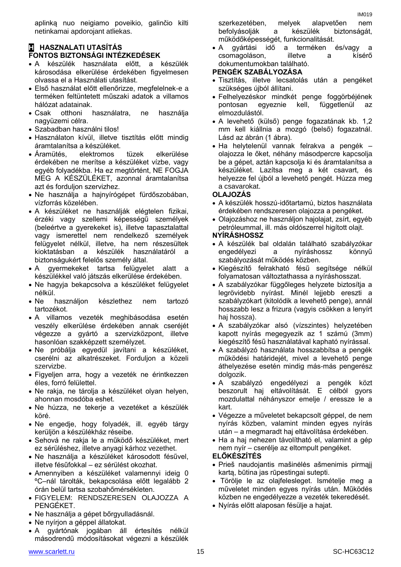aplinką nuo neigiamo poveikio, galinčio kilti netinkamai apdorojant atliekas.

#### **H HASZNALATI UTASÍTÁS FONTOS BIZTONSÁGI INTÉZKEDÉSEK**

- A készülék használata előtt, a készülék károsodása elkerülése érdekében figyelmesen olvassa el a Használati utasítást.
- Első használat előtt ellenőrizze, megfelelnek-e a terméken feltüntetett műszaki adatok a villamos hálózat adatainak.
- Csak otthoni használatra, ne használja nagyüzemi célra.
- Szabadban használni tilos!
- Használaton kívül, illetve tisztítás előtt mindig áramtalanítsa a készüléket.
- Áramütés, elektromos tüzek elkerülése érdekében ne merítse a készüléket vízbe, vagy egyéb folyadékba. Ha ez megtörtént, NE FOGJA MEG A KÉSZÜLÉKET, azonnal áramtalanítsa azt és forduljon szervizhez.
- Ne használja a hajnyírógépet fürdőszobában, vízforrás közelében.
- A készüléket ne használják elégtelen fizikai, érzéki vagy szellemi képességű személyek (beleértve a gyerekeket is), illetve tapasztalattal vagy ismerettel nem rendelkező személyek felügyelet nélkül, illetve, ha nem részesültek kioktatásban a készülék használatáról a biztonságukért felelős személy által.
- A gyermekeket tartsa felügyelet alatt a készülékkel való játszás elkerülése érdekében.
- Ne hagyja bekapcsolva a készüléket felügyelet nélkül.
- Ne használjon készlethez nem tartozó tartozékot.
- A villamos vezeték meghibásodása esetén veszély elkerülése érdekében annak cseréjét végezze a gyártó a szervizközpont, illetve hasonlóan szakképzett személyzet.
- Ne próbálja egyedül javítani a készüléket, cserélni az alkatrészeket. Forduljon a közeli szervizbe.
- Figyeljen arra, hogy a vezeték ne érintkezzen éles, forró felülettel.
- Ne rakja, ne tárolja a készüléket olyan helyen, ahonnan mosdóba eshet.
- Ne húzza, ne tekerje a vezetéket a készülék köré.
- Ne engedje, hogy folyadék, ill. egyéb tárgy kerüljön a készülékház réseibe.
- Sehová ne rakja le a működő készüléket, mert ez sérüléshez, illetve anyagi kárhoz vezethet.
- Ne használja a készüléket károsodott fésűvel, illetve fésűfokkal – ez sérülést okozhat.
- Amennyiben a készüléket valamennyi ideig 0 ºC–nál tárolták, bekapcsolása előtt legalább 2 órán belül tartsa szobahőmérsékleten.
- FIGYELEM: RENDSZERESEN OLAJOZZA A PENGÉKET.
- Ne használja a gépet bőrgyulladásnál.
- Ne nyírjon a géppel állatokat.
- A gyártónak jogában áll értesítés nélkül másodrendű módosításokat végezni a készülék

szerkezetében, melyek alapvetően nem befolyásolják a készülék biztonságát, működőképességét, funkcionalitását.

 A gyártási idő a terméken és/vagy a csomagoláson, illetve a kísérő dokumentumokban található.

#### **PENGÉK SZABÁLYOZÁSA**

- Tisztítás, illetve lecsatolás után a pengéket szükséges újból állítani.
- Felhelyezéskor mindkét penge foggörbéjének pontosan egyeznie kell, függetlenül az elmozdulástól.
- A levehető (külső) penge fogazatának kb. 1,2 mm kell kiállnia a mozgó (belső) fogazatnál. Lásd az ábrán (1 ábra).
- Ha helytelenül vannak felrakva a pengék olajozza le őket, néhány másodpercre kapcsolja be a gépet, aztán kapcsolja ki és áramtalanítsa a készüléket. Lazítsa meg a két csavart, és helyezze fel újból a levehető pengét. Húzza meg a csavarokat.

#### **OLAJOZÁS**

- A készülék hosszú-időtartamú, biztos használata érdekében rendszeresen olajozza a pengéket.
- Olajozáshoz ne használjon hajolajat, zsírt, egyéb petróleummal, ill. más oldószerrel higított olajt.

#### **NYÍRÁSHOSSZ**

- A készülék bal oldalán található szabályzókar engedélyezi a nyíráshossz könnyű szabályozását működés közben.
- Kiegészítő felrakható fésű segítsége nélkül folyamatosan változtathassa a nyíráshosszat.
- A szabályzókar függőleges helyzete biztosítja a legrövidebb nyírást. Minél lejjebb ereszti a szabályzókart (kitolódik a levehető penge), annál hosszabb lesz a frizura (vagyis csökken a lenyírt haj hossza).
- A szabályzókar alsó (vízszintes) helyzetében kapott nyírás megegyezik az 1 számú (3mm) kiegészítő fésű használatával kapható nyírással.
- A szabályzó használata hosszabbítsa a pengék működési határidejét, mivel a levehető penge áthelyezése esetén mindig más-más pengerész dolgozik.
- A szabályzó engedélyezi a pengék közt beszorult haj eltávolítását. E célból gyors mozdulattal néhányszor emelje / eressze le a kart.
- Végezze a műveletet bekapcsolt géppel, de nem nyírás közben, valamint minden egyes nyírás után – a megmaradt haj eltávolítása érdekében.
- Ha a haj nehezen távolítható el, valamint a gép nem nyír – cserélje az eltompult pengéket.

#### **ELŐKÉSZÍTÉS**

- Prieš naudojantis mašinėlės ašmenimis pirmąjį kartą, būtina jas rūpestingai sutepti.
- Törölje le az olajfelesleget. Ismételje meg a műveletet minden egyes nyírás után. Működés közben ne engedélyezze a vezeték tekeredését.
- Nyírás előtt alaposan fésülje a hajat.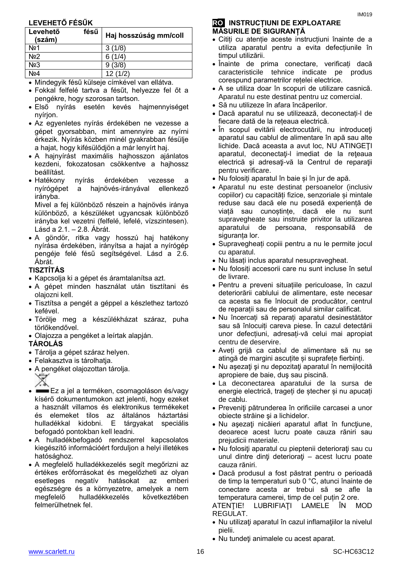### **LEVEHETŐ FÉSŰK**

| Levehető<br>(szám) | fésű | Haj hosszúság mm/coll |
|--------------------|------|-----------------------|
| No <sub>2</sub> 1  |      | 3(1/8)                |
| No <sub>2</sub>    |      | (1/4)                 |
| N <sub>23</sub>    |      | (3/8)                 |
| <b>\lo4</b>        |      | 12(1/2)               |

Mindegyik fésű külseje címkével van ellátva.

- Fokkal felfelé tartva a fésűt, helyezze fel őt a pengékre, hogy szorosan tartson.
- Első nyírás esetén kevés hajmennyiséget nyírjon.
- Az egyenletes nyírás érdekében ne vezesse a gépet gyorsabban, mint amennyire az nyírni érkezik. Nyírás közben minél gyakrabban fésülje a hajat, hogy kifésülődjön a már lenyírt haj.
- A hajnyírást maximális hajhosszon ajánlatos kezdeni, fokozatosan csökkentve a hajhossz beállítást.
- Hatékony nyírás érdekében vezesse a nyírógépet a hajnövés-irányával ellenkező irányba.

Mivel a fej különböző részein a hajnövés iránya különböző, a készüléket ugyancsak különböző irányba kel vezetni (felfelé, lefelé, vízszintesen). Lásd a 2.1. – 2.8. Ábrát.

 A göndör, ritka vagy hosszú haj hatékony nyírása érdekében, irányítsa a hajat a nyírógép pengéje felé fésű segítségével. Lásd a 2.6. Ábrát.

#### **TISZTÍTÁS**

- Kapcsolja ki a gépet és áramtalanítsa azt.
- A gépet minden használat után tisztítani és olajozni kell.
- Tisztítsa a pengét a géppel a készlethez tartozó kefével.
- Törölje meg a készülékházat száraz, puha törlőkendővel.
- Olajozza a pengéket a leírtak alapján.

#### **TÁROLÁS**

- Tárolja a gépet száraz helyen.
- Felakasztva is tárolhatja.
- A pengéket olajozottan tárolja.



- ∕. <sub>≷</sub><br>■ Ez a jel a terméken, csomagoláson és/vagy kísérő dokumentumokon azt jelenti, hogy ezeket a használt villamos és elektronikus termékeket és elemeket tilos az általános háztartási hulladékkal kidobni. E tárgyakat speciális befogadó pontokban kell leadni.
- A hulladékbefogadó rendszerrel kapcsolatos kiegészítő információért forduljon a helyi illetékes hatósághoz.
- A megfelelő hulladékkezelés segít megőrizni az értékes erőforrásokat és megelőzheti az olyan esetleges negatív hatásokat az emberi egészségre és a környezetre, amelyek a nem megfelelő hulladékkezelés következtében felmerülhetnek fel.

#### **RO INSTRUCȚIUNI DE EXPLOATARE MĂSURILE DE SIGURANȚĂ**

- Citiți cu atenție aceste instrucțiuni înainte de a utiliza aparatul pentru a evita defecțiunile în timpul utilizării.
- Înainte de prima conectare, verificați dacă caracteristicile tehnice indicate pe produs corespund parametrilor rețelei electrice.
- A se utiliza doar în scopuri de utilizare casnică. Aparatul nu este destinat pentru uz comercial.
- Să nu utilizeze în afara încăperilor.
- Dacă aparatul nu se utilizează, deconectați-l de fiecare dată de la rețeaua electrică.
- În scopul evitării electrocutării, nu introduceţi aparatul sau cablul de alimentare în apă sau alte lichide. Dacă aceasta a avut loc, NU ATINGEŢI aparatul, deconectaţi-l imediat de la reţeaua electrică şi adresaţi-vă la Centrul de reparaţii pentru verificare.
- Nu folosiți aparatul în baie și în jur de apă.
- Aparatul nu este destinat persoanelor (inclusiv copiilor) cu capacități fizice, senzoriale și mintale reduse sau dacă ele nu posedă experiență de viață sau cunoștințe, dacă ele nu sunt supravegheate sau instruite privitor la utilizarea aparatului de persoana, responsabilă de siguranța lor.
- Supravegheați copiii pentru a nu le permite jocul cu aparatul.
- Nu lăsați inclus aparatul nesupravegheat.
- Nu folosiți accesorii care nu sunt incluse în setul de livrare.
- Pentru a preveni situațiile periculoase, în cazul deteriorării cablului de alimentare, este necesar ca acesta sa fie înlocuit de producător, centrul de reparații sau de personalul similar calificat.
- Nu încercați să reparați aparatul desinestătător sau să înlocuiți careva piese. În cazul detectării unor defecțiuni, adresați-vă celui mai apropiat centru de deservire.
- Aveți grijă ca cablul de alimentare să nu se atingă de margini ascutite și suprafete fierbinți.
- Nu asezati și nu depozitați aparatul în nemiilocită apropiere de baie, duş sau piscină.
- La deconectarea aparatului de la sursa de energie electrică, trageți de ștecher și nu apucați de cablu.
- Preveniţi pătrunderea în orificiile carcasei a unor obiecte străine şi a lichidelor.
- Nu asezați nicăieri aparatul aflat în funcțiune, deoarece acest lucru poate cauza răniri sau prejudicii materiale.
- Nu folosiți aparatul cu pieptenii deteriorați sau cu unul dintre dinți deteriorați – acest lucru poate cauza răniri.
- Dacă produsul a fost păstrat pentru o perioadă de timp la temperaturi sub 0 °C, atunci înainte de conectare acesta ar trebui să se afle la temperatura camerei, timp de cel puțin 2 ore.

ATENŢIE! LUBRIFIAŢI LAMELE ÎN MOD REGULAT.

- Nu utilizaţi aparatul în cazul inflamaţiilor la nivelul pielii.
- Nu tundeti animalele cu acest aparat.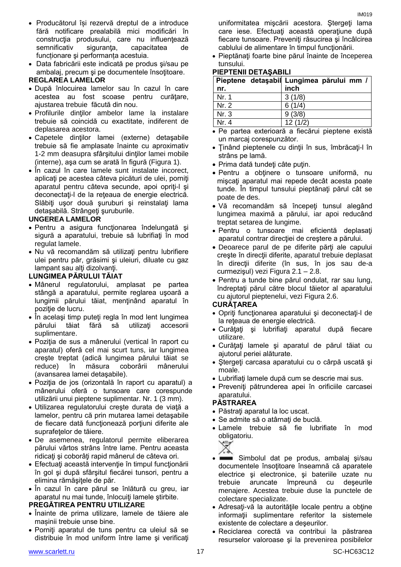- Producătorul își rezervă dreptul de a introduce fără notificare prealabilă mici modificări în construcția produsului, care nu influențează semnificativ siguranța, capacitatea de funcționare şi performanța acestuia.
- Data fabricării este indicată pe produs şi/sau pe ambalaj, precum şi pe documentele însoţitoare.

#### **REGLAREA LAMELOR**

- După înlocuirea lamelor sau în cazul în care acestea au fost scoase pentru curățare, ajustarea trebuie făcută din nou.
- Profilurile dinţilor ambelor lame la instalare trebuie să coincidă cu exactitate, indiferent de deplasarea acestora.
- Capetele dinţilor lamei (externe) detaşabile trebuie să fie amplasate înainte cu aproximativ 1-2 mm deasupra sfârşitului dinţilor lamei mobile (interne), aşa cum se arată în figură (Figura 1).
- În cazul în care lamele sunt instalate incorect. aplicaţi pe acestea câteva picături de ulei, porniţi aparatul pentru câteva secunde, apoi opriţi-l şi deconectați-l de la rețeaua de energie electrică. Slăbiți ușor două șuruburi și reinstalați lama detasabilă. Strângeți suruburile.

#### **UNGEREA LAMELOR**

- Pentru a asigura funcționarea îndelungată și sigură a aparatului, trebuie să lubrifiaţi în mod regulat lamele.
- Nu vă recomandăm să utilizaţi pentru lubrifiere ulei pentru păr, grăsimi şi uleiuri, diluate cu gaz lampant sau alti dizolvanti.

#### **LUNGIMEA PĂRULUI TĂIAT**

- Mânerul regulatorului, amplasat pe partea stângă a aparatului, permite reglarea uşoară a lungimii părului tăiat, menţinând aparatul în poziţie de lucru.
- În același timp puteți regla în mod lent lungimea părului tăiat fără să utilizaţi accesorii suplimentare.
- Poziția de sus a mânerului (vertical în raport cu aparatul) oferă cel mai scurt tuns, iar lungimea creşte treptat (adică lungimea părului tăiat se reduce) în măsura coborârii mânerului (avansarea lamei detaşabile).
- Poziţia de jos (orizontală în raport cu aparatul) a mânerului oferă o tunsoare care corespunde utilizării unui pieptene suplimentar. Nr. 1 (3 mm).
- Utilizarea regulatorului creşte durata de viaţă a lamelor, pentru că prin mutarea lamei detaşabile de fiecare dată funcționează porțiuni diferite ale suprafeţelor de tăiere.
- De asemenea, regulatorul permite eliberarea părului vârtos strâns între lame. Pentru aceasta ridicaţi şi coborâţi rapid mânerul de câteva ori.
- Efectuaţi această intervenţie în timpul funcţionării în gol şi după sfârşitul fiecărei tunsori, pentru a elimina rămăşiţele de păr.
- În cazul în care părul se înlătură cu greu, iar aparatul nu mai tunde, înlocuiţi lamele ştirbite.

#### **PREGĂTIREA PENTRU UTILIZARE**

- Înainte de prima utilizare, lamele de tăiere ale mașinii trebuie unse bine.
- Porniţi aparatul de tuns pentru ca uleiul să se distribuie în mod uniform între lame şi verificaţi

uniformitatea mişcării acestora. Ştergeţi lama care iese. Efectuaţi această operaţiune după fiecare tunsoare. Preveniţi răsucirea şi încâlcirea cablului de alimentare în timpul funcţionării.

• Pieptănați foarte bine părul înainte de începerea tunsului.

#### **PIEPTENII DETAŞABILI**

| nr.   | Pieptene detaşabil Lungimea părului mm /<br>inch |
|-------|--------------------------------------------------|
| Nr. 1 | 3(1/8)                                           |
| Nr. 2 | 6(1/4)                                           |
| Nr. 3 | 9(3/8)                                           |
| Nr. 4 | 12(1/2)                                          |

- Pe partea exterioară a fiecărui pieptene există un marcaj corespunzător.
- Ţinând pieptenele cu dinţii în sus, îmbrăcaţi-l în strâns pe lamă.
- Prima dată tundeți câte puțin.
- Pentru a obţinere o tunsoare uniformă, nu miscati aparatul mai repede decât acesta poate tunde. În timpul tunsului pieptănați părul cât se poate de des.
- Vă recomandăm să începeţi tunsul alegând lungimea maximă a părului, iar apoi reducând treptat setarea de lungime.
- Pentru o tunsoare mai eficientă deplasaţi aparatul contrar direcţiei de creştere a părului.
- Deoarece parul de pe diferite părti ale capului creşte în direcţii diferite, aparatul trebuie deplasat în direcţii diferite (în sus, în jos sau de-a curmezişul) vezi Figura 2.1 – 2.8.
- Pentru a tunde bine părul ondulat, rar sau lung, îndreptaţi părul către blocul tăietor al aparatului cu ajutorul pieptenelui, vezi Figura 2.6.

#### **CURĂŢAREA**

- Opriți funcționarea aparatului și deconectati-l de la reţeaua de energie electrică.
- Curăţaţi şi lubrifiaţi aparatul după fiecare utilizare.
- Curătați lamele și aparatul de părul tăiat cu ajutorul periei alăturate.
- Ştergeţi carcasa aparatului cu o cârpă uscată şi moale.
- Lubrifiaţi lamele după cum se descrie mai sus.
- Preveniţi pătrunderea apei în orificiile carcasei aparatului.

#### **PĂSTRAREA**

- Păstrati aparatul la loc uscat.
- Se admite să o atârnați de buclă.
- Lamele trebuie să fie lubrifiate în mod obligatoriu.



- Simbolul dat pe produs, ambalaj şi/sau documentele însoţitoare înseamnă că aparatele electrice şi electronice, şi bateriile uzate nu trebuie aruncate împreună cu deşeurile menajere. Acestea trebuie duse la punctele de colectare specializate.
- Adresaţi-vă la autorităţile locale pentru a obţine informaţii suplimentare referitor la sistemele existente de colectare a deşeurilor.
- Reciclarea corectă va contribui la păstrarea resurselor valoroase şi la prevenirea posibilelor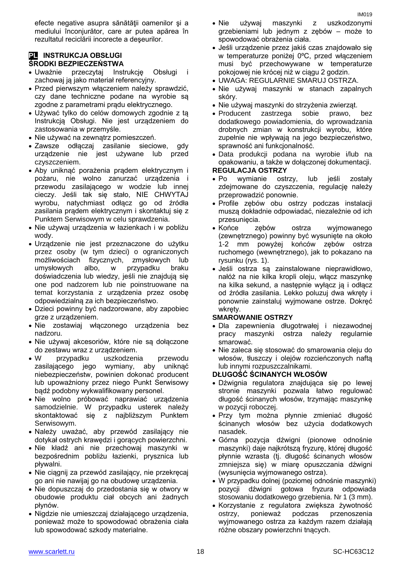efecte negative asupra sănătăţii oamenilor şi a mediului înconjurător, care ar putea apărea în rezultatul reciclării incorecte a deşeurilor.

#### **PL INSTRUKCJA OBSŁUGI ŚRODKI BEZPIECZEŃSTWA**

- Uważnie przeczytaj Instrukcję Obsługi i zachowaj ją jako materiał referencyjny.
- Przed pierwszym włączeniem należy sprawdzić, czy dane techniczne podane na wyrobie są zgodne z parametrami prądu elektrycznego.
- Używać tylko do celów domowych zgodnie z tą Instrukcją Obsługi. Nie jest urządzeniem do zastosowania w przemyśle.
- Nie używać na zewnatrz pomieszczeń.
- Zawsze odłączaj zasilanie sieciowe, gdy urządzenie nie jest używane lub przed czyszczeniem.
- Aby uniknąć porażenia prądem elektrycznym i pożaru, nie wolno zanurzać urządzenia i przewodu zasilającego w wodzie lub innej cieczy. Jeśli tak się stało, NIE CHWYTAJ wyrobu, natychmiast odłącz go od źródła zasilania prądem elektrycznym i skontaktuj się z Punktem Serwisowym w celu sprawdzenia.
- Nie używaj urządzenia w łazienkach i w pobliżu wody.
- Urządzenie nie jest przeznaczone do użytku przez osoby (w tym dzieci) o ograniczonych możliwościach fizycznych, zmysłowych lub umysłowych albo, w przypadku braku doświadczenia lub wiedzy, jeśli nie znajdują się one pod nadzorem lub nie poinstruowane na temat korzystania z urządzenia przez osobę odpowiedzialną za ich bezpieczeństwo.
- Dzieci powinny być nadzorowane, aby zapobiec grze z urządzeniem.
- Nie zostawiaj włączonego urządzenia bez nadzoru.
- Nie używaj akcesoriów, które nie są dołączone do zestawu wraz z urządzeniem.
- W przypadku uszkodzenia przewodu zasilającego jego wymiany, aby uniknąć niebezpieczeństw, powinien dokonać producent lub upoważniony przez niego Punkt Serwisowy bądź podobny wykwalifikowany personel.
- Nie wolno próbować naprawiać urządzenia samodzielnie. W przypadku usterek należy skontaktować się z najbliższym Punktem Serwisowym.
- Należy uważać, aby przewód zasilający nie dotykał ostrych krawędzi i gorących powierzchni.
- Nie kładź ani nie przechowaj maszynki w bezpośrednim pobliżu łazienki, prysznica lub pływalni.
- Nie ciągnij za przewód zasilający, nie przekręcaj go ani nie nawijaj go na obudowę urządzenia.
- Nie dopuszczaj do przedostania się w otwory w obudowie produktu ciał obcych ani żadnych płynów.
- Nigdzie nie umieszczaj działającego urządzenia, ponieważ może to spowodować obrażenia ciała lub spowodować szkody materialne.
- Nie używaj maszynki z uszkodzonymi grzebieniami lub jednym z zębów – może to spowodować obrażenia ciała.
- Jeśli urządzenie przez jakiś czas znajdowało się w temperaturze poniżej 0ºC, przed włączeniem musi być przechowywane w temperaturze pokojowej nie krócej niż w ciągu 2 godzin.
- UWAGA: REGULARNIE SMARUJ OSTRZA.
- Nie używaj maszynki w stanach zapalnych skóry.
- Nie używaj maszynki do strzyżenia zwierząt.
- Producent zastrzega sobie prawo, bez dodatkowego powiadomienia, do wprowadzania drobnych zmian w konstrukcji wyrobu, które zupełnie nie wpływają na jego bezpieczeństwo, sprawność ani funkcjonalność.
- Data produkcji podana na wyrobie i/lub na opakowaniu, a także w dołączonej dokumentacji. **REGULACJA OSTRZY**

#### Po wymianie ostrzy, lub jeśli zostały zdejmowane do czyszczenia, regulację należy przeprowadzić ponownie.

- Profile zębów obu ostrzy podczas instalacji muszą dokładnie odpowiadać, niezależnie od ich przesunięcia.
- Końce zębów ostrza wyjmowanego (zewnętrznego) powinny być wysunięte na około 1-2 mm powyżej końców zębów ostrza ruchomego (wewnętrznego), jak to pokazano na rysunku (rys. 1).
- Jeśli ostrza są zainstalowane nieprawidłowo, nałóż na nie kilka kropli oleju, włącz maszynkę na kilka sekund, a następnie wyłącz ją i odłącz od źródła zasilania. Lekko poluzuj dwa wkręty i ponownie zainstaluj wyjmowane ostrze. Dokręć wkręty.

#### **SMAROWANIE OSTRZY**

- Dla zapewnienia długotrwałej i niezawodnej pracy maszynki ostrza należy regularnie smarować.
- Nie zaleca się stosować do smarowania oleju do włosów, tłuszczy i olejów rozcieńczonych naftą lub innymi rozpuszczalnikami.

#### **DŁUGOŚĆ ŚCINANYCH WŁOSÓW**

- Dźwignia regulatora znajdująca się po lewej stronie maszynki pozwala łatwo regulować długość ścinanych włosów, trzymając maszynkę w pozycji roboczej.
- Przy tym można płynnie zmieniać długość ścinanych włosów bez użycia dodatkowych nasadek.
- Górna pozycja dźwigni (pionowe odnośnie maszynki) daje najkrótszą fryzurę, której długość płynnie wzrasta (tj. długość ścinanych włosów zmniejsza się) w miarę opuszczania dźwigni (wysunięcia wyjmowanego ostrza).
- W przypadku dolnej (poziomej odnośnie maszynki) pozycji dźwigni gotowa fryzura odpowiada stosowaniu dodatkowego grzebienia. Nr 1 (3 mm).
- Korzystanie z regulatora zwiększa żywotność ostrzy, ponieważ podczas przenoszenia wyjmowanego ostrza za każdym razem działają różne obszary powierzchni tnących.